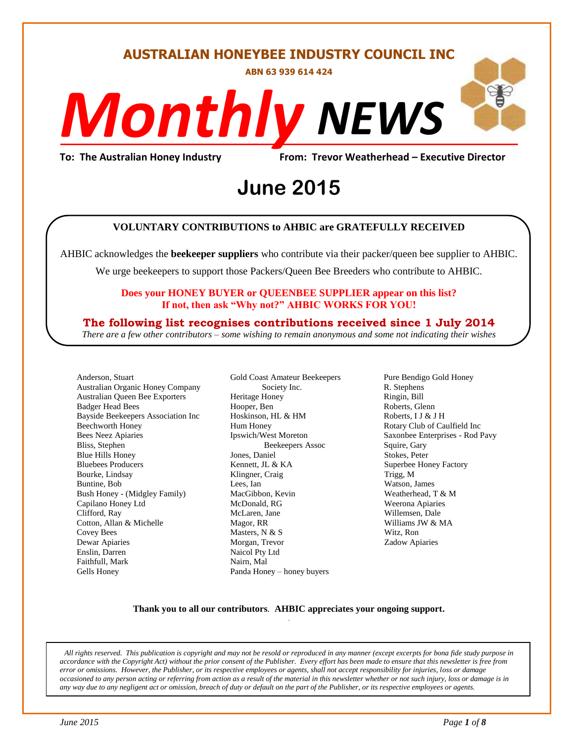#### **AUSTRALIAN HONEYBEE INDUSTRY COUNCIL INC**

**ABN 63 939 614 424**

# *NEWS Monthly*

**To: The Australian Honey Industry From: Trevor Weatherhead – Executive Director**

## From: Trevor Weathe<br>**June 2015**

#### **VOLUNTARY CONTRIBUTIONS to AHBIC are GRATEFULLY RECEIVED**

AHBIC acknowledges the **beekeeper suppliers** who contribute via their packer/queen bee supplier to AHBIC.

We urge beekeepers to support those Packers/Queen Bee Breeders who contribute to AHBIC.

#### **Does your HONEY BUYER or QUEENBEE SUPPLIER appear on this list? If not, then ask "Why not?" AHBIC WORKS FOR YOU!**

#### **The following list recognises contributions received since 1 July 2014**

*There are a few other contributors – some wishing to remain anonymous and some not indicating their wishes*

Anderson, Stuart Australian Organic Honey Company Australian Queen Bee Exporters Badger Head Bees Bayside Beekeepers Association Inc Beechworth Honey Bees Neez Apiaries Bliss, Stephen Blue Hills Honey Bluebees Producers Bourke, Lindsay Buntine, Bob Bush Honey - (Midgley Family) Capilano Honey Ltd Clifford, Ray Cotton, Allan & Michelle Covey Bees Dewar Apiaries Enslin, Darren Faithfull, Mark Gells Honey

Gold Coast Amateur Beekeepers Society Inc. Heritage Honey Hooper, Ben Hoskinson, HL & HM Hum Honey Ipswich/West Moreton Beekeepers Assoc Jones, Daniel Kennett, JL & KA Klingner, Craig Lees, Ian MacGibbon, Kevin McDonald, RG McLaren, Jane Magor, RR Masters, N & S Morgan, Trevor Naicol Pty Ltd Nairn, Mal Panda Honey – honey buyers

Pure Bendigo Gold Honey R. Stephens Ringin, Bill Roberts, Glenn Roberts, I J & J H Rotary Club of Caulfield Inc Saxonbee Enterprises - Rod Pavy Squire, Gary Stokes, Peter Superbee Honey Factory Trigg, M Watson, James Weatherhead, T & M Weerona Apiaries Willemsen, Dale Williams JW & MA Witz, Ron Zadow Apiaries

#### **Thank you to all our contributors***.* **AHBIC appreciates your ongoing support.** .

*All rights reserved. This publication is copyright and may not be resold or reproduced in any manner (except excerpts for bona fide study purpose in accordance with the Copyright Act) without the prior consent of the Publisher. Every effort has been made to ensure that this newsletter is free from error or omissions. However, the Publisher, or its respective employees or agents, shall not accept responsibility for injuries, loss or damage occasioned to any person acting or referring from action as a result of the material in this newsletter whether or not such injury, loss or damage is in any way due to any negligent act or omission, breach of duty or default on the part of the Publisher, or its respective employees or agents.*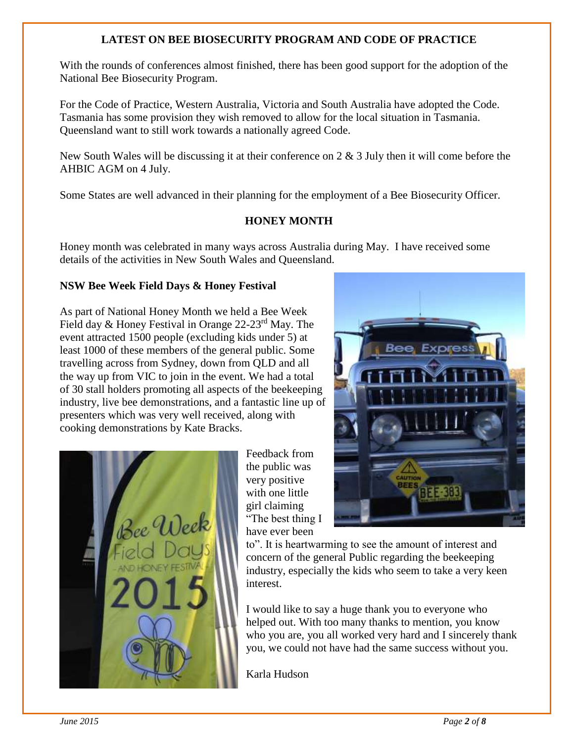#### **LATEST ON BEE BIOSECURITY PROGRAM AND CODE OF PRACTICE**

With the rounds of conferences almost finished, there has been good support for the adoption of the National Bee Biosecurity Program.

For the Code of Practice, Western Australia, Victoria and South Australia have adopted the Code. Tasmania has some provision they wish removed to allow for the local situation in Tasmania. Queensland want to still work towards a nationally agreed Code.

New South Wales will be discussing it at their conference on 2 & 3 July then it will come before the AHBIC AGM on 4 July.

Some States are well advanced in their planning for the employment of a Bee Biosecurity Officer.

#### **HONEY MONTH**

Honey month was celebrated in many ways across Australia during May. I have received some details of the activities in New South Wales and Queensland.

#### **NSW Bee Week Field Days & Honey Festival**

As part of National Honey Month we held a Bee Week Field day & Honey Festival in Orange 22-23rd May. The event attracted 1500 people (excluding kids under 5) at least 1000 of these members of the general public. Some travelling across from Sydney, down from QLD and all the way up from VIC to join in the event. We had a total of 30 stall holders promoting all aspects of the beekeeping industry, live bee demonstrations, and a fantastic line up of presenters which was very well received, along with cooking demonstrations by Kate Bracks.



Feedback from the public was very positive with one little girl claiming "The best thing I have ever been



to". It is heartwarming to see the amount of interest and concern of the general Public regarding the beekeeping industry, especially the kids who seem to take a very keen interest.

I would like to say a huge thank you to everyone who helped out. With too many thanks to mention, you know who you are, you all worked very hard and I sincerely thank you, we could not have had the same success without you.

Karla Hudson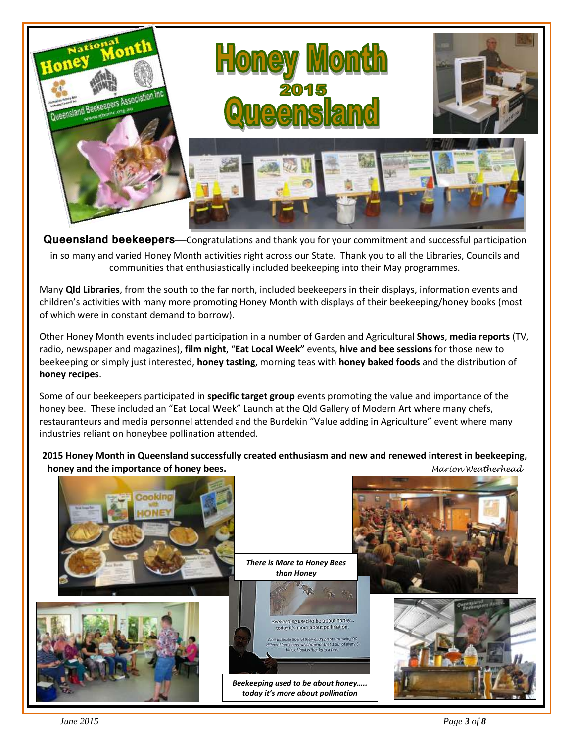

**Queensland beekeepers**—Congratulations and thank you for your commitment and successful participation in so many and varied Honey Month activities right across our State. Thank you to all the Libraries, Councils and communities that enthusiastically included beekeeping into their May programmes.

Many **Qld Libraries**, from the south to the far north, included beekeepers in their displays, information events and children's activities with many more promoting Honey Month with displays of their beekeeping/honey books (most of which were in constant demand to borrow).

Other Honey Month events included participation in a number of Garden and Agricultural **Shows**, **media reports** (TV, radio, newspaper and magazines), **film night**, "**Eat Local Week"** events, **hive and bee sessions** for those new to beekeeping or simply just interested, **honey tasting**, morning teas with **honey baked foods** and the distribution of **honey recipes**.

Some of our beekeepers participated in **specific target group** events promoting the value and importance of the honey bee. These included an "Eat Local Week" Launch at the Qld Gallery of Modern Art where many chefs, restauranteurs and media personnel attended and the Burdekin "Value adding in Agriculture" event where many industries reliant on honeybee pollination attended.

**2015 Honey Month in Queensland successfully created enthusiasm and new and renewed interest in beekeeping, honey and the importance of honey bees.** *Marion Weatherhead*

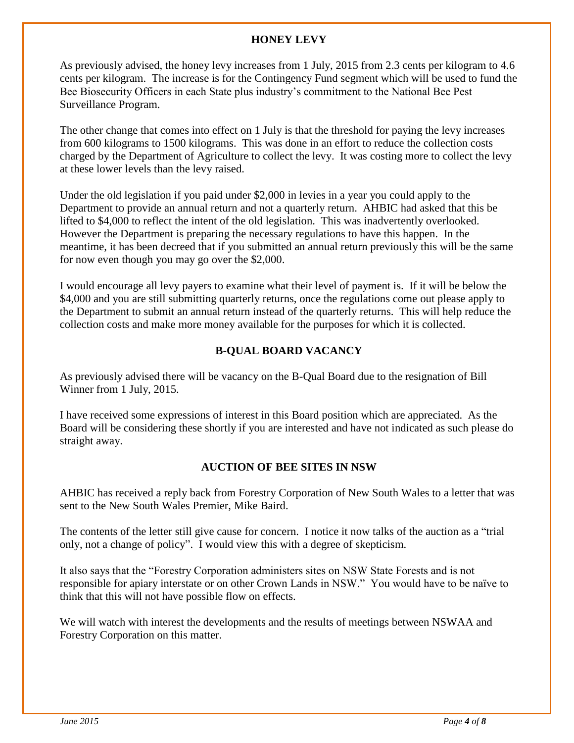#### **HONEY LEVY**

As previously advised, the honey levy increases from 1 July, 2015 from 2.3 cents per kilogram to 4.6 cents per kilogram. The increase is for the Contingency Fund segment which will be used to fund the Bee Biosecurity Officers in each State plus industry's commitment to the National Bee Pest Surveillance Program.

The other change that comes into effect on 1 July is that the threshold for paying the levy increases from 600 kilograms to 1500 kilograms. This was done in an effort to reduce the collection costs charged by the Department of Agriculture to collect the levy. It was costing more to collect the levy at these lower levels than the levy raised.

Under the old legislation if you paid under \$2,000 in levies in a year you could apply to the Department to provide an annual return and not a quarterly return. AHBIC had asked that this be lifted to \$4,000 to reflect the intent of the old legislation. This was inadvertently overlooked. However the Department is preparing the necessary regulations to have this happen. In the meantime, it has been decreed that if you submitted an annual return previously this will be the same for now even though you may go over the \$2,000.

I would encourage all levy payers to examine what their level of payment is. If it will be below the \$4,000 and you are still submitting quarterly returns, once the regulations come out please apply to the Department to submit an annual return instead of the quarterly returns. This will help reduce the collection costs and make more money available for the purposes for which it is collected.

#### **B-QUAL BOARD VACANCY**

As previously advised there will be vacancy on the B-Qual Board due to the resignation of Bill Winner from 1 July, 2015.

I have received some expressions of interest in this Board position which are appreciated. As the Board will be considering these shortly if you are interested and have not indicated as such please do straight away.

#### **AUCTION OF BEE SITES IN NSW**

AHBIC has received a reply back from Forestry Corporation of New South Wales to a letter that was sent to the New South Wales Premier, Mike Baird.

The contents of the letter still give cause for concern. I notice it now talks of the auction as a "trial only, not a change of policy". I would view this with a degree of skepticism.

It also says that the "Forestry Corporation administers sites on NSW State Forests and is not responsible for apiary interstate or on other Crown Lands in NSW." You would have to be naïve to think that this will not have possible flow on effects.

We will watch with interest the developments and the results of meetings between NSWAA and Forestry Corporation on this matter.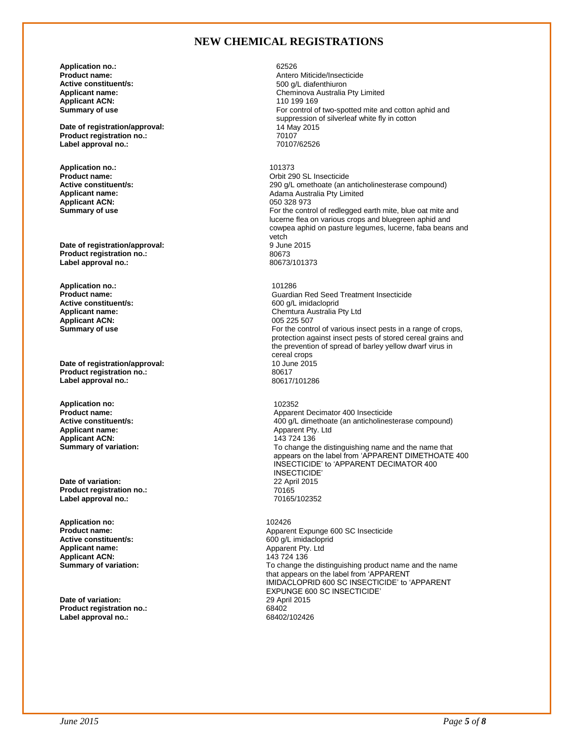#### **NEW CHEMICAL REGISTRATIONS**

**Application no.:** 62526<br> **Product name:** Antero **Active constituent/s:** <br>**Applicant name:** <br>**Applicant name:** <br>**Applicant name:** <br>**Cheminova Australia Applicant ACN:**<br>Summary of use

**Date of registration/approval:** 14 May 12 May 2016 12 May 2016 12 May 2016 12 May 2016 12 May 2016 12 May 2016 12 May 2016 12 May 2017 12 May 2017 12 May 2017 12 May 2017 12 May 2017 12 May 2017 12 May 2018 12 May 2018 12 **Product registration no.:** 70107 Label approval no.:

**Application no.:** 101373 **Applicant ACN:**<br>Summary of use

**Date of registration/approval:** 9 June 2015 19 June 201673 **Product registration no.:**  $\begin{array}{ccc}\n & 80673 \\
 \text{Label aoproval no.} \\
 \end{array}$ Label approval no.:

**Application no.:** 201286<br> **Product name:** 2012 **Contract Server Application 101286 Active constituent/s:** <br> **Applicant name:** <br> **Applicant name:** <br> **Applicant name:** <br> **Applicant name:** <br> **Applicant name:** <br> **Applicant name:** <br> **Applicant name:** <br> **Applicant name:** <br> **Applicant name:** <br> **Applicant name: Applicant ACN:**<br>Summary of use

**Date of registration/approval:** 10 June 2016<br> **Product registration no.:** 20617 **Product registration no.:** 80617 **Label approval no.:** 

**Application no:** 102352 **Applicant ACN:**<br>Summary of variation:

**Date of variation:** 22 April 2015 **Product registration no.:** 70165 Label approval no.:

**Application no:** 102426 **Active constituent/s:**  $\begin{array}{ccc}\n\bullet & \bullet & \bullet & \bullet & \bullet \\
\bullet & \bullet & \bullet & \bullet & \bullet & \bullet \\
\bullet & \bullet & \bullet & \bullet & \bullet & \bullet \\
\bullet & \bullet & \bullet & \bullet & \bullet & \bullet \\
\bullet & \bullet & \bullet & \bullet & \bullet & \bullet & \bullet\n\end{array}$ **Applicant ACN: 143 724 136**<br>**Summary of variation: 143 724 136** 

**Date of variation:** 29 Apr<br> **Product registration no:** 68402 **Product registration no.:** 68402 Label approval no.:

**Product name:** Antero Miticide/Insecticide Cheminova Australia Pty Limited<br>110 199 169 For control of two-spotted mite and cotton aphid and suppression of silverleaf white fly in cotton<br>14 May 2015

**Product name: Product name: Product name: Product name: Product name: Product name: Product name: Product name: Product name: Product name: Product name: Product name: Product name: Product name: Active constituent/s:** <br>**Applicant name:** <br>**Applicant name:** <br>**Adama Australia Pty Limited Applicant name:** <br>**Adama Australia Pty Limited** Adama Australia Pty Limited<br>050.328.973 For the control of redlegged earth mite, blue oat mite and lucerne flea on various crops and bluegreen aphid and cowpea aphid on pasture legumes, lucerne, faba beans and vetch<br>9 June 2015

**Product name:**<br> **Active constituent/s:**<br> **Active constituent/s:**<br> **GOO** a/L imidacloprid Chemtura Australia Pty Ltd<br>005 225 507 For the control of various insect pests in a range of crops, protection against insect pests of stored cereal grains and the prevention of spread of barley yellow dwarf virus in cereal crops<br>10 June 2015

**Product name: Product name: Apparent Decimator 400 Insecticide**<br> **Active constituent/s: Active constituent/s: ADD ADD ADD ADD ADD ADD ADD ADD ADD ADD ADD ADD ADD ADD ADD ADD ADD A Active constituent/s:** <br> **Applicant name:** <br> **Applicant name:** <br> **Applicant name:** <br> **Applicant name:** <br> **Applicant name:** <br> **Applicant name:** <br> **Applicant name:** <br> **Applicant name:** <br> **Applicant name:** <br> **Applicant name:** Apparent Pty. Ltd<br>143 724 136 To change the distinguishing name and the name that appears on the label from 'APPARENT DIMETHOATE 400 INSECTICIDE' to 'APPARENT DECIMATOR 400 INSECTICIDE'<br>22 April 2015

**Product name:** <br> **Apparent Expunge 600 SC Insecticide**<br> **Active constituent/s:** <br> **Active constituent/s:** <br> **Active constituent/s:** <br> **Active constituent/s: Apparent Ptv. Ltd** To change the distinguishing product name and the name that appears on the label from 'APPARENT IMIDACLOPRID 600 SC INSECTICIDE' to 'APPARENT EXPUNGE 600 SC INSECTICIDE'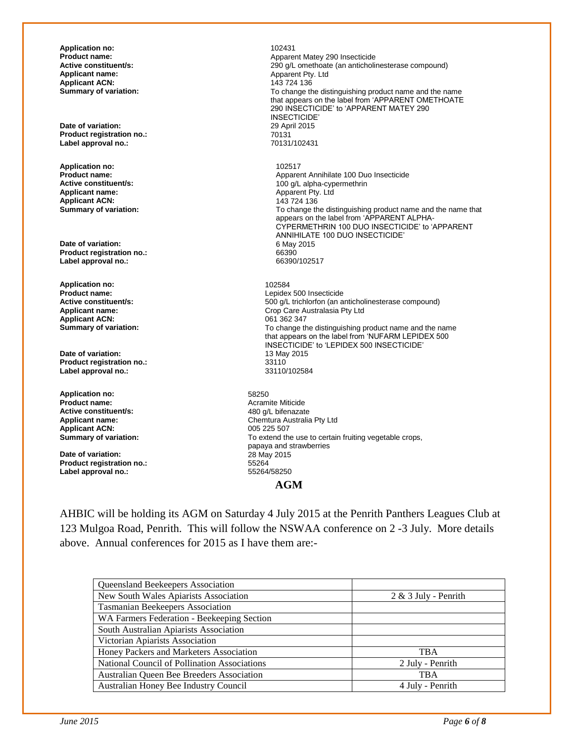**Application no:**  $102431$ <br>**Product name:** Apparent **Applicant ACN:**<br>Summary of variation:

**Date of variation:** 29 April 2015<br> **Product registration no.:** 20131 **Product registration no.:** 70131 **Label approval no.:** 

**Application no: 102517**<br>**Product name: 102517 Applicant name:**  $\begin{array}{c} \text{Application:} \\ \text{Application:} \end{array}$ **Applicant ACN:**<br>**Summary of variation:** 

**Date of variation:** 6 May 2015 12:00 May 2015 12:00 May 2015 12:00 May 2015 12:00 May 2015 12:00 May 2015 12:00 May 2015 12:00 May 2015 12:00 May 2015 12:00 May 2015 12:00 May 2015 12:00 May 2015 12:00 May 2015 12:00 May **Product registration no.:** 66390 **Label approval no.:** 

**Application no:** 102584 **Applicant ACN:**<br>Summary of variation:

**Date of variation:** 13 May 2016 13 May 2016 12:34 **Product registration no.: Label approval no.:** 33110/102584

**Application no:** 58250 **Active constituent/s:**<br>**Applicant name: Applicant ACN:** 005 225 507<br> **Summary of variation:** To extend the

**Date of variation:** 28 May 2015<br> **Product registration no.:** 55264 **Product registration no.:** 55264 Label approval no.:

**Product name: Product name: Apparent Matey 290 Insecticide**<br> **Active constituent/s: Active constituent/s: Active constituent/s: Active constituent/s: Active constituent/s: Active constituent/s: Active cons Active constituent/s:** <br> **Applicant name:** <br> **Applicant name:** <br> **Applicant name:** <br> **Applicant name:** <br> **Applicant name:** <br> **Applicant name:** <br> **Applicant name:** <br> **Applicant name:** <br> **Applicant name:** <br> **Applicant name:** Apparent Pty. Ltd<br>143 724 136 To change the distinguishing product name and the name that appears on the label from 'APPARENT OMETHOATE 290 INSECTICIDE' to 'APPARENT MATEY 290 INSECTICIDE'<br>29 April 2015 **Product name: Product name: Apparent Annihilate 100 Duo Insecticide**<br> **Active constituent/s: Active constituent/s: Active constituent/s: Active constituent/s: Active constituent/s: Active constituent/s: Ac** 100 g/L alpha-cypermethrin<br>Apparent Pty. Ltd To change the distinguishing product name and the name that appears on the label from 'APPARENT ALPHA-CYPERMETHRIN 100 DUO INSECTICIDE' to 'APPARENT ANNIHILATE 100 DUO INSECTICIDE' **Product name:** Lepidex 500 Insecticide **Active constituent/s:** <br>**Applicant name: Applicant name: Applicant name: Applicant name: Crop Care Australasia Ptv Ltd** Crop Care Australasia Pty Ltd<br>061 362 347 To change the distinguishing product name and the name that appears on the label from 'NUFARM LEPIDEX 500 INSECTICIDE' to 'LEPIDEX 500 INSECTICIDE' Acramite Miticide<br>480 q/L bifenazate

**Applicant name:** Chemtura Australia Pty Ltd To extend the use to certain fruiting vegetable crops, papaya and strawberries

**AGM**

AHBIC will be holding its AGM on Saturday 4 July 2015 at the Penrith Panthers Leagues Club at 123 Mulgoa Road, Penrith. This will follow the NSWAA conference on 2 -3 July. More details above. Annual conferences for 2015 as I have them are:-

| Queensland Beekeepers Association                   |                        |
|-----------------------------------------------------|------------------------|
| New South Wales Apiarists Association               | $2 & 3$ July - Penrith |
| <b>Tasmanian Beekeepers Association</b>             |                        |
| WA Farmers Federation - Beekeeping Section          |                        |
| South Australian Apiarists Association              |                        |
| Victorian Apiarists Association                     |                        |
| Honey Packers and Marketers Association             | <b>TBA</b>             |
| <b>National Council of Pollination Associations</b> | 2 July - Penrith       |
| Australian Queen Bee Breeders Association           | <b>TBA</b>             |
| Australian Honey Bee Industry Council               | 4 July - Penrith       |
|                                                     |                        |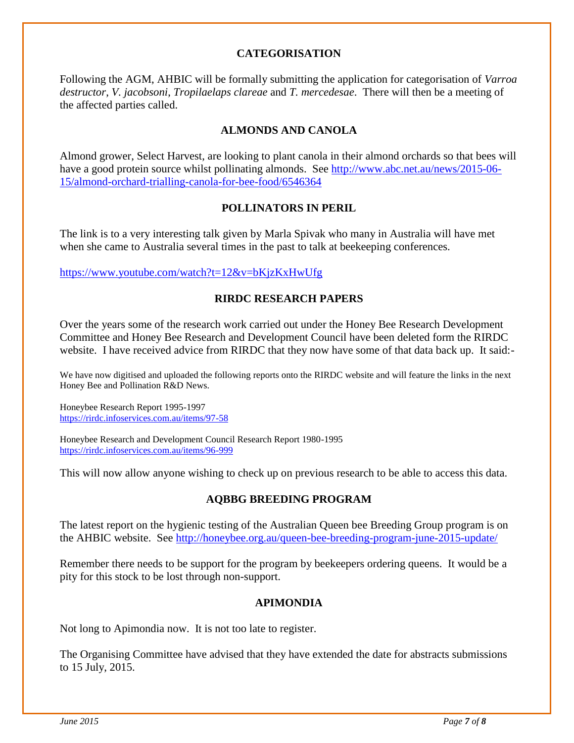#### **CATEGORISATION**

Following the AGM, AHBIC will be formally submitting the application for categorisation of *Varroa destructor*, *V. jacobsoni*, *Tropilaelaps clareae* and *T. mercedesae*. There will then be a meeting of the affected parties called.

#### **ALMONDS AND CANOLA**

Almond grower, Select Harvest, are looking to plant canola in their almond orchards so that bees will have a good protein source whilst pollinating almonds. See [http://www.abc.net.au/news/2015-06-](http://www.abc.net.au/news/2015-06-15/almond-orchard-trialling-canola-for-bee-food/6546364) [15/almond-orchard-trialling-canola-for-bee-food/6546364](http://www.abc.net.au/news/2015-06-15/almond-orchard-trialling-canola-for-bee-food/6546364)

#### **POLLINATORS IN PERIL**

The link is to a very interesting talk given by Marla Spivak who many in Australia will have met when she came to Australia several times in the past to talk at beekeeping conferences.

<https://www.youtube.com/watch?t=12&v=bKjzKxHwUfg>

#### **RIRDC RESEARCH PAPERS**

Over the years some of the research work carried out under the Honey Bee Research Development Committee and Honey Bee Research and Development Council have been deleted form the RIRDC website. I have received advice from RIRDC that they now have some of that data back up. It said:-

We have now digitised and uploaded the following reports onto the RIRDC website and will feature the links in the next Honey Bee and Pollination R&D News.

Honeybee Research Report 1995-1997 <https://rirdc.infoservices.com.au/items/97-58>

Honeybee Research and Development Council Research Report 1980-1995 <https://rirdc.infoservices.com.au/items/96-999>

This will now allow anyone wishing to check up on previous research to be able to access this data.

#### **AQBBG BREEDING PROGRAM**

The latest report on the hygienic testing of the Australian Queen bee Breeding Group program is on the AHBIC website. See<http://honeybee.org.au/queen-bee-breeding-program-june-2015-update/>

Remember there needs to be support for the program by beekeepers ordering queens. It would be a pity for this stock to be lost through non-support.

#### **APIMONDIA**

Not long to Apimondia now. It is not too late to register.

The Organising Committee have advised that they have extended the date for abstracts submissions to 15 July, 2015.